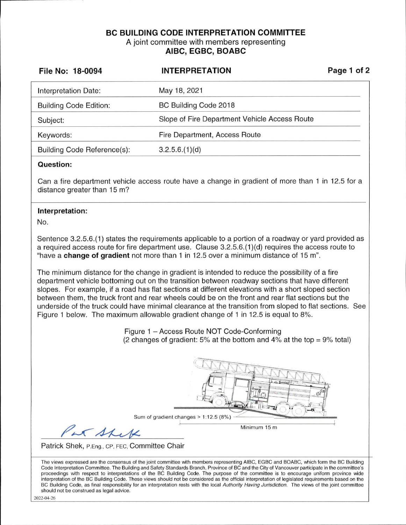## **BC BUILDING CODE INTERPRETATION COMMITTEE**  A joint committee with members representing **AIBC, EGBC, BOABC**

| File No: 18-0094                                                                                                                 | <b>INTERPRETATION</b>                                                                                                                                                                                                                                                                                                                                                                                                                                                                                                                                                                                                                                                                                                                                                                                                                                                                                                     | Page 1 of 2 |
|----------------------------------------------------------------------------------------------------------------------------------|---------------------------------------------------------------------------------------------------------------------------------------------------------------------------------------------------------------------------------------------------------------------------------------------------------------------------------------------------------------------------------------------------------------------------------------------------------------------------------------------------------------------------------------------------------------------------------------------------------------------------------------------------------------------------------------------------------------------------------------------------------------------------------------------------------------------------------------------------------------------------------------------------------------------------|-------------|
| Interpretation Date:                                                                                                             | May 18, 2021                                                                                                                                                                                                                                                                                                                                                                                                                                                                                                                                                                                                                                                                                                                                                                                                                                                                                                              |             |
| <b>Building Code Edition:</b>                                                                                                    | BC Building Code 2018                                                                                                                                                                                                                                                                                                                                                                                                                                                                                                                                                                                                                                                                                                                                                                                                                                                                                                     |             |
| Subject:                                                                                                                         | Slope of Fire Department Vehicle Access Route                                                                                                                                                                                                                                                                                                                                                                                                                                                                                                                                                                                                                                                                                                                                                                                                                                                                             |             |
| Keywords:                                                                                                                        | Fire Department, Access Route                                                                                                                                                                                                                                                                                                                                                                                                                                                                                                                                                                                                                                                                                                                                                                                                                                                                                             |             |
| Building Code Reference(s):                                                                                                      | 3.2.5.6.(1)(d)                                                                                                                                                                                                                                                                                                                                                                                                                                                                                                                                                                                                                                                                                                                                                                                                                                                                                                            |             |
| <b>Question:</b>                                                                                                                 |                                                                                                                                                                                                                                                                                                                                                                                                                                                                                                                                                                                                                                                                                                                                                                                                                                                                                                                           |             |
| Can a fire department vehicle access route have a change in gradient of more than 1 in 12.5 for a<br>distance greater than 15 m? |                                                                                                                                                                                                                                                                                                                                                                                                                                                                                                                                                                                                                                                                                                                                                                                                                                                                                                                           |             |
| Interpretation:                                                                                                                  |                                                                                                                                                                                                                                                                                                                                                                                                                                                                                                                                                                                                                                                                                                                                                                                                                                                                                                                           |             |
| No.                                                                                                                              |                                                                                                                                                                                                                                                                                                                                                                                                                                                                                                                                                                                                                                                                                                                                                                                                                                                                                                                           |             |
|                                                                                                                                  | Sentence 3.2.5.6.(1) states the requirements applicable to a portion of a roadway or yard provided as<br>a required access route for fire department use. Clause 3.2.5.6.(1)(d) requires the access route to<br>"have a change of gradient not more than 1 in 12.5 over a minimum distance of 15 m".<br>The minimum distance for the change in gradient is intended to reduce the possibility of a fire<br>department vehicle bottoming out on the transition between roadway sections that have different<br>slopes. For example, if a road has flat sections at different elevations with a short sloped section<br>between them, the truck front and rear wheels could be on the front and rear flat sections but the<br>underside of the truck could have minimal clearance at the transition from sloped to flat sections. See<br>Figure 1 below. The maximum allowable gradient change of 1 in 12.5 is equal to 8%. |             |
|                                                                                                                                  | Figure 1 - Access Route NOT Code-Conforming<br>(2 changes of gradient: 5% at the bottom and 4% at the top = $9\%$ total)                                                                                                                                                                                                                                                                                                                                                                                                                                                                                                                                                                                                                                                                                                                                                                                                  |             |
| Par Shek                                                                                                                         | Sum of gradient changes > 1:12.5 (8%)<br>Minimum 15 m                                                                                                                                                                                                                                                                                                                                                                                                                                                                                                                                                                                                                                                                                                                                                                                                                                                                     |             |
| Patrick Shek, P.Eng., CP, FEC, Committee Chair                                                                                   |                                                                                                                                                                                                                                                                                                                                                                                                                                                                                                                                                                                                                                                                                                                                                                                                                                                                                                                           |             |
|                                                                                                                                  | The views expressed are the consensus of the joint committee with members representing AIBC, EGBC and BOABC, which form the BC Building<br>Code Interpretation Committee. The Building and Safety Standards Branch, Province of BC and the City of Vancouver participate in the committee's<br>proceedings with respect to interpretations of the BC Building Code. The purpose of the committee is to encourage uniform province wide                                                                                                                                                                                                                                                                                                                                                                                                                                                                                    |             |

interpretation of the BC Building Code. These views should not be considered as the official interpretation of legislated requirements based on the BC Building Code, as final responsibility for an interpretation rests with the local Authority Having Jurisdiction. The views of the joint committee should not be construed as legal advice.